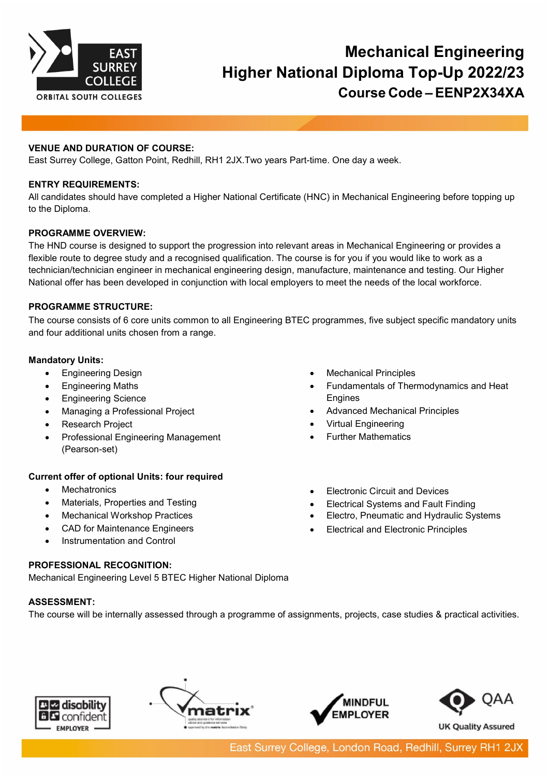

# **Mechanical Engineering Higher National Diploma Top-Up 2022/23 Course Code – EENP2X34XA**

## **VENUE AND DURATION OF COURSE:**

East Surrey College, Gatton Point, Redhill, RH1 2JX.Two years Part-time. One day a week.

#### **ENTRY REQUIREMENTS:**

All candidates should have completed a Higher National Certificate (HNC) in Mechanical Engineering before topping up to the Diploma.

## **PROGRAMME OVERVIEW:**

The HND course is designed to support the progression into relevant areas in Mechanical Engineering or provides a flexible route to degree study and a recognised qualification. The course is for you if you would like to work as a technician/technician engineer in mechanical engineering design, manufacture, maintenance and testing. Our Higher National offer has been developed in conjunction with local employers to meet the needs of the local workforce.

## **PROGRAMME STRUCTURE:**

The course consists of 6 core units common to all Engineering BTEC programmes, five subject specific mandatory units and four additional units chosen from a range.

#### **Mandatory Units:**

- Engineering Design
- Engineering Maths
- Engineering Science
- Managing a Professional Project
- **Research Project**
- Professional Engineering Management (Pearson-set)

#### **Current offer of optional Units: four required**

- Mechatronics
- Materials, Properties and Testing
- Mechanical Workshop Practices
- CAD for Maintenance Engineers
- Instrumentation and Control

# **PROFESSIONAL RECOGNITION:**

Mechanical Engineering Level 5 BTEC Higher National Diploma

# **ASSESSMENT:**

The course will be internally assessed through a programme of assignments, projects, case studies & practical activities.









- **Mechanical Principles**
- Fundamentals of Thermodynamics and Heat Engines
- Advanced Mechanical Principles
- Virtual Engineering
- Further Mathematics
- **Electronic Circuit and Devices**
- Electrical Systems and Fault Finding
- Electro, Pneumatic and Hydraulic Systems
- Electrical and Electronic Principles